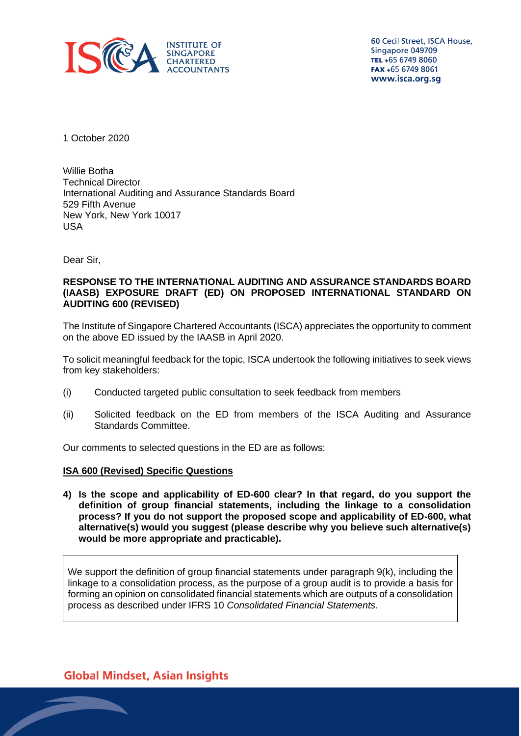

60 Cecil Street, ISCA House, Singapore 049709 TEL +65 6749 8060 FAX +65 6749 8061 www.isca.org.sg

1 October 2020

Willie Botha Technical Director International Auditing and Assurance Standards Board 529 Fifth Avenue New York, New York 10017 USA

Dear Sir,

#### **RESPONSE TO THE INTERNATIONAL AUDITING AND ASSURANCE STANDARDS BOARD (IAASB) EXPOSURE DRAFT (ED) ON PROPOSED INTERNATIONAL STANDARD ON AUDITING 600 (REVISED)**

The Institute of Singapore Chartered Accountants (ISCA) appreciates the opportunity to comment on the above ED issued by the IAASB in April 2020.

To solicit meaningful feedback for the topic, ISCA undertook the following initiatives to seek views from key stakeholders:

- (i) Conducted targeted public consultation to seek feedback from members
- (ii) Solicited feedback on the ED from members of the ISCA Auditing and Assurance Standards Committee.

Our comments to selected questions in the ED are as follows:

# **ISA 600 (Revised) Specific Questions**

**4) Is the scope and applicability of ED-600 clear? In that regard, do you support the definition of group financial statements, including the linkage to a consolidation process? If you do not support the proposed scope and applicability of ED-600, what alternative(s) would you suggest (please describe why you believe such alternative(s) would be more appropriate and practicable).** 

We support the definition of group financial statements under paragraph 9(k), including the linkage to a consolidation process, as the purpose of a group audit is to provide a basis for forming an opinion on consolidated financial statements which are outputs of a consolidation process as described under IFRS 10 *Consolidated Financial Statements*.

# **Global Mindset, Asian Insights**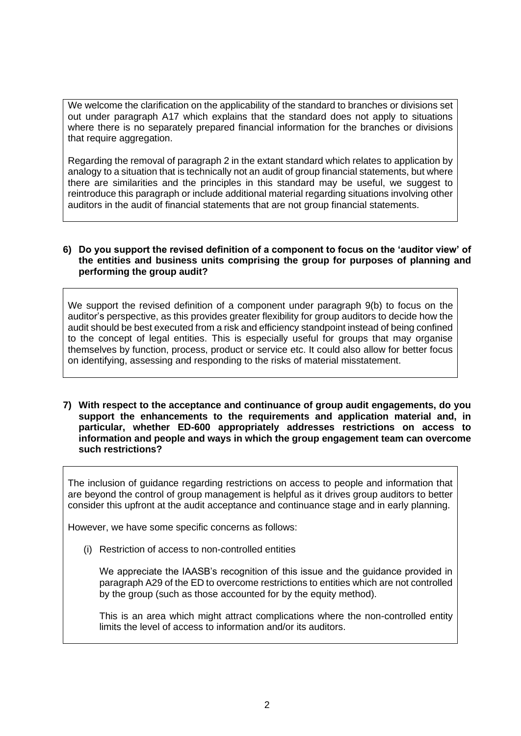We welcome the clarification on the applicability of the standard to branches or divisions set out under paragraph A17 which explains that the standard does not apply to situations where there is no separately prepared financial information for the branches or divisions that require aggregation.

Regarding the removal of paragraph 2 in the extant standard which relates to application by analogy to a situation that is technically not an audit of group financial statements, but where there are similarities and the principles in this standard may be useful, we suggest to reintroduce this paragraph or include additional material regarding situations involving other auditors in the audit of financial statements that are not group financial statements.

#### **6) Do you support the revised definition of a component to focus on the 'auditor view' of the entities and business units comprising the group for purposes of planning and performing the group audit?**

We support the revised definition of a component under paragraph 9(b) to focus on the auditor's perspective, as this provides greater flexibility for group auditors to decide how the audit should be best executed from a risk and efficiency standpoint instead of being confined to the concept of legal entities. This is especially useful for groups that may organise themselves by function, process, product or service etc. It could also allow for better focus on identifying, assessing and responding to the risks of material misstatement.

**7) With respect to the acceptance and continuance of group audit engagements, do you support the enhancements to the requirements and application material and, in particular, whether ED-600 appropriately addresses restrictions on access to information and people and ways in which the group engagement team can overcome such restrictions?** 

The inclusion of guidance regarding restrictions on access to people and information that are beyond the control of group management is helpful as it drives group auditors to better consider this upfront at the audit acceptance and continuance stage and in early planning.

However, we have some specific concerns as follows:

(i) Restriction of access to non-controlled entities

We appreciate the IAASB's recognition of this issue and the guidance provided in paragraph A29 of the ED to overcome restrictions to entities which are not controlled by the group (such as those accounted for by the equity method).

This is an area which might attract complications where the non-controlled entity limits the level of access to information and/or its auditors.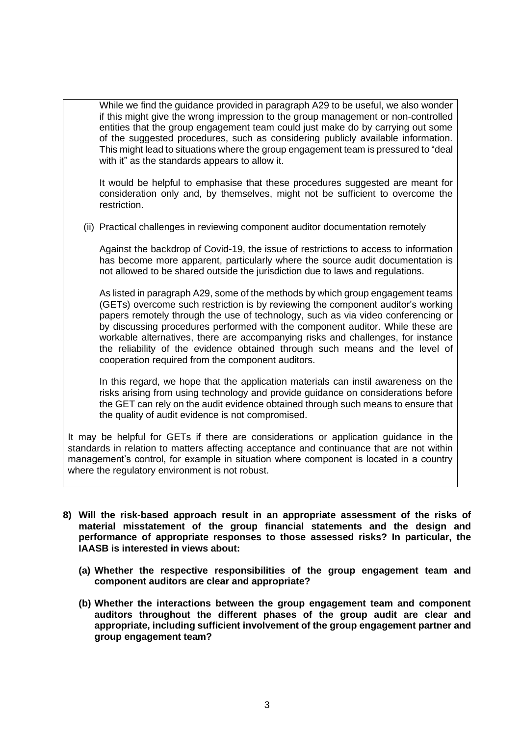While we find the guidance provided in paragraph A29 to be useful, we also wonder if this might give the wrong impression to the group management or non-controlled entities that the group engagement team could just make do by carrying out some of the suggested procedures, such as considering publicly available information. This might lead to situations where the group engagement team is pressured to "deal with it" as the standards appears to allow it.

It would be helpful to emphasise that these procedures suggested are meant for consideration only and, by themselves, might not be sufficient to overcome the restriction.

(ii) Practical challenges in reviewing component auditor documentation remotely

Against the backdrop of Covid-19, the issue of restrictions to access to information has become more apparent, particularly where the source audit documentation is not allowed to be shared outside the jurisdiction due to laws and regulations.

As listed in paragraph A29, some of the methods by which group engagement teams (GETs) overcome such restriction is by reviewing the component auditor's working papers remotely through the use of technology, such as via video conferencing or by discussing procedures performed with the component auditor. While these are workable alternatives, there are accompanying risks and challenges, for instance the reliability of the evidence obtained through such means and the level of cooperation required from the component auditors.

In this regard, we hope that the application materials can instil awareness on the risks arising from using technology and provide guidance on considerations before the GET can rely on the audit evidence obtained through such means to ensure that the quality of audit evidence is not compromised.

It may be helpful for GETs if there are considerations or application guidance in the standards in relation to matters affecting acceptance and continuance that are not within management's control, for example in situation where component is located in a country where the regulatory environment is not robust.

- **8) Will the risk-based approach result in an appropriate assessment of the risks of material misstatement of the group financial statements and the design and performance of appropriate responses to those assessed risks? In particular, the IAASB is interested in views about:** 
	- **(a) Whether the respective responsibilities of the group engagement team and component auditors are clear and appropriate?**
	- **(b) Whether the interactions between the group engagement team and component auditors throughout the different phases of the group audit are clear and appropriate, including sufficient involvement of the group engagement partner and group engagement team?**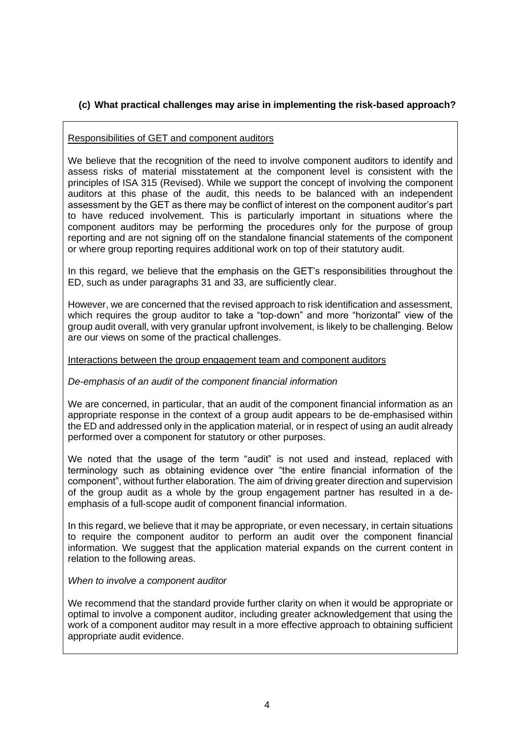# **(c) What practical challenges may arise in implementing the risk-based approach?**

# Responsibilities of GET and component auditors

We believe that the recognition of the need to involve component auditors to identify and assess risks of material misstatement at the component level is consistent with the principles of ISA 315 (Revised). While we support the concept of involving the component auditors at this phase of the audit, this needs to be balanced with an independent assessment by the GET as there may be conflict of interest on the component auditor's part to have reduced involvement. This is particularly important in situations where the component auditors may be performing the procedures only for the purpose of group reporting and are not signing off on the standalone financial statements of the component or where group reporting requires additional work on top of their statutory audit.

In this regard, we believe that the emphasis on the GET's responsibilities throughout the ED, such as under paragraphs 31 and 33, are sufficiently clear.

However, we are concerned that the revised approach to risk identification and assessment, which requires the group auditor to take a "top-down" and more "horizontal" view of the group audit overall, with very granular upfront involvement, is likely to be challenging. Below are our views on some of the practical challenges.

# Interactions between the group engagement team and component auditors

# *De-emphasis of an audit of the component financial information*

We are concerned, in particular, that an audit of the component financial information as an appropriate response in the context of a group audit appears to be de-emphasised within the ED and addressed only in the application material, or in respect of using an audit already performed over a component for statutory or other purposes.

We noted that the usage of the term "audit" is not used and instead, replaced with terminology such as obtaining evidence over "the entire financial information of the component", without further elaboration. The aim of driving greater direction and supervision of the group audit as a whole by the group engagement partner has resulted in a deemphasis of a full-scope audit of component financial information.

In this regard, we believe that it may be appropriate, or even necessary, in certain situations to require the component auditor to perform an audit over the component financial information. We suggest that the application material expands on the current content in relation to the following areas.

# *When to involve a component auditor*

We recommend that the standard provide further clarity on when it would be appropriate or optimal to involve a component auditor, including greater acknowledgement that using the work of a component auditor may result in a more effective approach to obtaining sufficient appropriate audit evidence.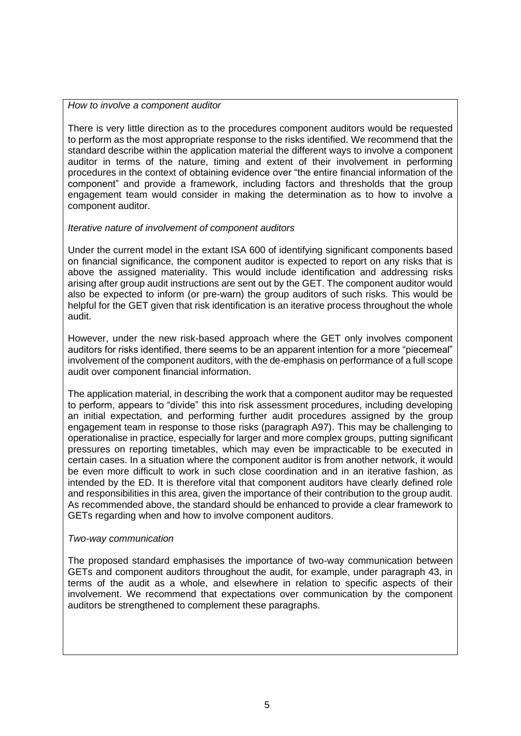#### *How to involve a component auditor*

There is very little direction as to the procedures component auditors would be requested to perform as the most appropriate response to the risks identified. We recommend that the standard describe within the application material the different ways to involve a component auditor in terms of the nature, timing and extent of their involvement in performing procedures in the context of obtaining evidence over "the entire financial information of the component" and provide a framework, including factors and thresholds that the group engagement team would consider in making the determination as to how to involve a component auditor.

# *Iterative nature of involvement of component auditors*

Under the current model in the extant ISA 600 of identifying significant components based on financial significance, the component auditor is expected to report on any risks that is above the assigned materiality. This would include identification and addressing risks arising after group audit instructions are sent out by the GET. The component auditor would also be expected to inform (or pre-warn) the group auditors of such risks. This would be helpful for the GET given that risk identification is an iterative process throughout the whole audit.

However, under the new risk-based approach where the GET only involves component auditors for risks identified, there seems to be an apparent intention for a more "piecemeal" involvement of the component auditors, with the de-emphasis on performance of a full scope audit over component financial information.

The application material, in describing the work that a component auditor may be requested to perform, appears to "divide" this into risk assessment procedures, including developing an initial expectation, and performing further audit procedures assigned by the group engagement team in response to those risks (paragraph A97). This may be challenging to operationalise in practice, especially for larger and more complex groups, putting significant pressures on reporting timetables, which may even be impracticable to be executed in certain cases. In a situation where the component auditor is from another network, it would be even more difficult to work in such close coordination and in an iterative fashion, as intended by the ED. It is therefore vital that component auditors have clearly defined role and responsibilities in this area, given the importance of their contribution to the group audit. As recommended above, the standard should be enhanced to provide a clear framework to GETs regarding when and how to involve component auditors.

# *Two-way communication*

The proposed standard emphasises the importance of two-way communication between GETs and component auditors throughout the audit, for example, under paragraph 43, in terms of the audit as a whole, and elsewhere in relation to specific aspects of their involvement. We recommend that expectations over communication by the component auditors be strengthened to complement these paragraphs.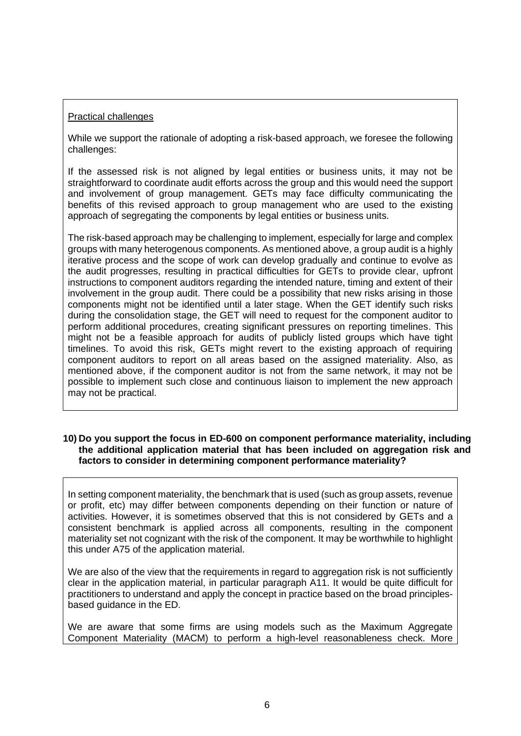# Practical challenges

While we support the rationale of adopting a risk-based approach, we foresee the following challenges:

If the assessed risk is not aligned by legal entities or business units, it may not be straightforward to coordinate audit efforts across the group and this would need the support and involvement of group management. GETs may face difficulty communicating the benefits of this revised approach to group management who are used to the existing approach of segregating the components by legal entities or business units.

The risk-based approach may be challenging to implement, especially for large and complex groups with many heterogenous components. As mentioned above, a group audit is a highly iterative process and the scope of work can develop gradually and continue to evolve as the audit progresses, resulting in practical difficulties for GETs to provide clear, upfront instructions to component auditors regarding the intended nature, timing and extent of their involvement in the group audit. There could be a possibility that new risks arising in those components might not be identified until a later stage. When the GET identify such risks during the consolidation stage, the GET will need to request for the component auditor to perform additional procedures, creating significant pressures on reporting timelines. This might not be a feasible approach for audits of publicly listed groups which have tight timelines. To avoid this risk, GETs might revert to the existing approach of requiring component auditors to report on all areas based on the assigned materiality. Also, as mentioned above, if the component auditor is not from the same network, it may not be possible to implement such close and continuous liaison to implement the new approach may not be practical.

#### **10) Do you support the focus in ED-600 on component performance materiality, including the additional application material that has been included on aggregation risk and factors to consider in determining component performance materiality?**

In setting component materiality, the benchmark that is used (such as group assets, revenue or profit, etc) may differ between components depending on their function or nature of activities. However, it is sometimes observed that this is not considered by GETs and a consistent benchmark is applied across all components, resulting in the component materiality set not cognizant with the risk of the component. It may be worthwhile to highlight this under A75 of the application material.

We are also of the view that the requirements in regard to aggregation risk is not sufficiently clear in the application material, in particular paragraph A11. It would be quite difficult for practitioners to understand and apply the concept in practice based on the broad principlesbased guidance in the ED.

We are aware that some firms are using models such as the Maximum Aggregate Component Materiality (MACM) to perform a high-level reasonableness check. More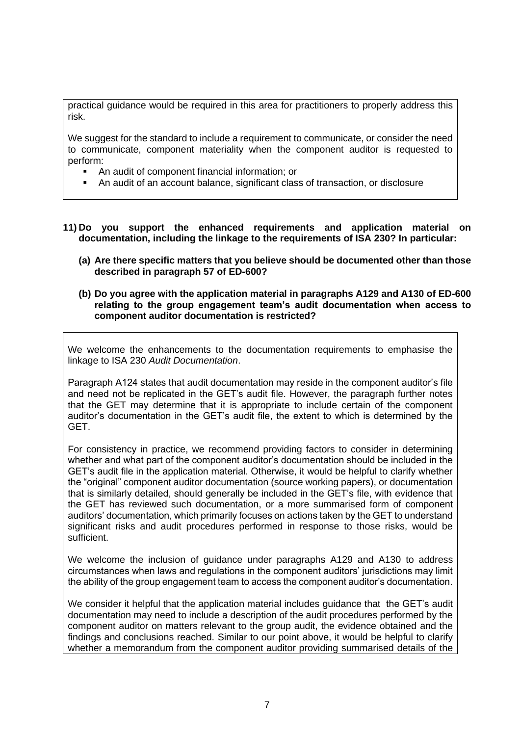practical guidance would be required in this area for practitioners to properly address this risk.

We suggest for the standard to include a requirement to communicate, or consider the need to communicate, component materiality when the component auditor is requested to perform:

- An audit of component financial information; or
- An audit of an account balance, significant class of transaction, or disclosure
- **11) Do you support the enhanced requirements and application material on documentation, including the linkage to the requirements of ISA 230? In particular:** 
	- **(a) Are there specific matters that you believe should be documented other than those described in paragraph 57 of ED-600?**
	- **(b) Do you agree with the application material in paragraphs A129 and A130 of ED-600 relating to the group engagement team's audit documentation when access to component auditor documentation is restricted?**

We welcome the enhancements to the documentation requirements to emphasise the linkage to ISA 230 *Audit Documentation*.

Paragraph A124 states that audit documentation may reside in the component auditor's file and need not be replicated in the GET's audit file. However, the paragraph further notes that the GET may determine that it is appropriate to include certain of the component auditor's documentation in the GET's audit file, the extent to which is determined by the GET.

For consistency in practice, we recommend providing factors to consider in determining whether and what part of the component auditor's documentation should be included in the GET's audit file in the application material. Otherwise, it would be helpful to clarify whether the "original" component auditor documentation (source working papers), or documentation that is similarly detailed, should generally be included in the GET's file, with evidence that the GET has reviewed such documentation, or a more summarised form of component auditors' documentation, which primarily focuses on actions taken by the GET to understand significant risks and audit procedures performed in response to those risks, would be sufficient.

We welcome the inclusion of guidance under paragraphs A129 and A130 to address circumstances when laws and regulations in the component auditors' jurisdictions may limit the ability of the group engagement team to access the component auditor's documentation.

We consider it helpful that the application material includes guidance that the GET's audit documentation may need to include a description of the audit procedures performed by the component auditor on matters relevant to the group audit, the evidence obtained and the findings and conclusions reached. Similar to our point above, it would be helpful to clarify whether a memorandum from the component auditor providing summarised details of the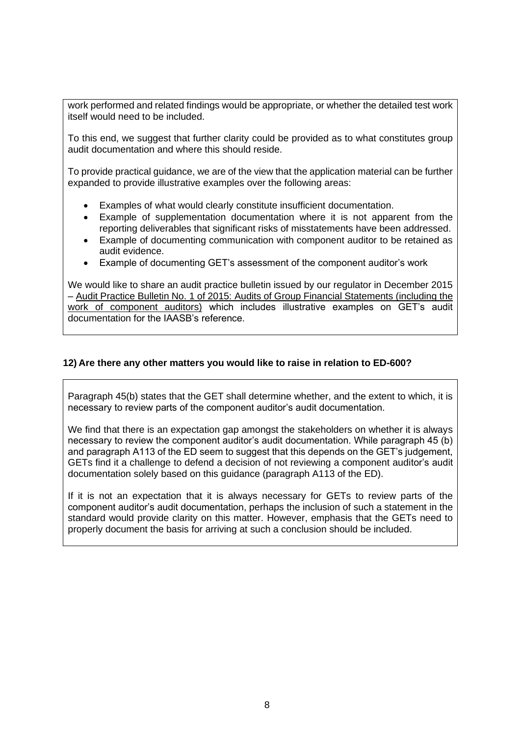work performed and related findings would be appropriate, or whether the detailed test work itself would need to be included.

To this end, we suggest that further clarity could be provided as to what constitutes group audit documentation and where this should reside.

To provide practical guidance, we are of the view that the application material can be further expanded to provide illustrative examples over the following areas:

- Examples of what would clearly constitute insufficient documentation.
- Example of supplementation documentation where it is not apparent from the reporting deliverables that significant risks of misstatements have been addressed.
- Example of documenting communication with component auditor to be retained as audit evidence.
- Example of documenting GET's assessment of the component auditor's work

We would like to share an audit practice bulletin issued by our regulator in December 2015 – Audit Practice Bulletin No. 1 of 2015: Audits of Group Financial Statements (including the work of component auditors) which includes illustrative examples on GET's audit documentation for the IAASB's reference.

#### **12) Are there any other matters you would like to raise in relation to ED-600?**

Paragraph 45(b) states that the GET shall determine whether, and the extent to which, it is necessary to review parts of the component auditor's audit documentation.

We find that there is an expectation gap amongst the stakeholders on whether it is always necessary to review the component auditor's audit documentation. While paragraph 45 (b) and paragraph A113 of the ED seem to suggest that this depends on the GET's judgement, GETs find it a challenge to defend a decision of not reviewing a component auditor's audit documentation solely based on this guidance (paragraph A113 of the ED).

If it is not an expectation that it is always necessary for GETs to review parts of the component auditor's audit documentation, perhaps the inclusion of such a statement in the standard would provide clarity on this matter. However, emphasis that the GETs need to properly document the basis for arriving at such a conclusion should be included.